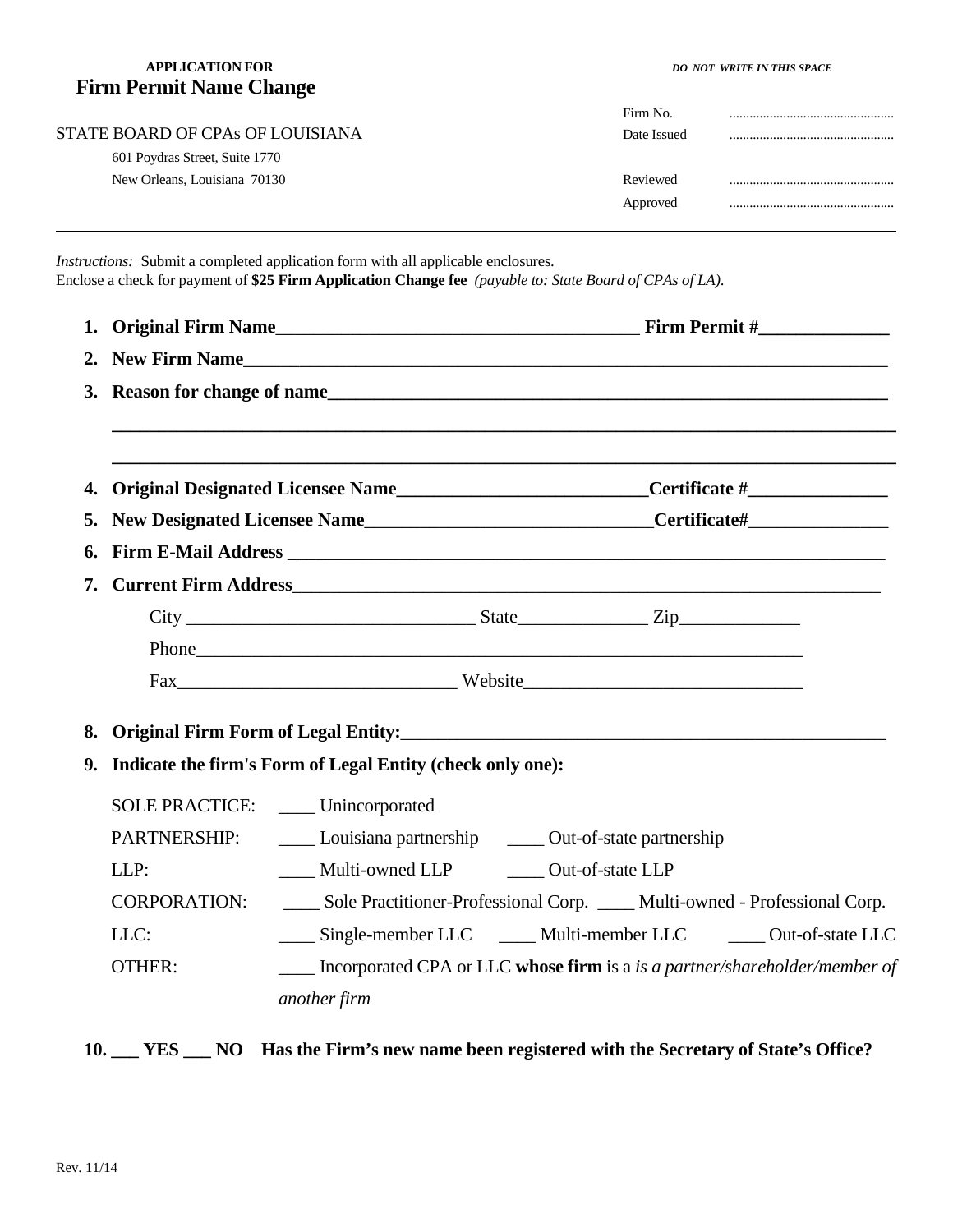## **APPLICATION FOR** *DO NOT WRITE IN THIS SPACE*  **Firm Permit Name Change**

|                                  | Firm No.    |  |
|----------------------------------|-------------|--|
| STATE BOARD OF CPAs OF LOUISIANA | Date Issued |  |
| 601 Poydras Street, Suite 1770   |             |  |
| New Orleans, Louisiana 70130     | Reviewed    |  |
|                                  | Approved    |  |
|                                  |             |  |

*Instructions:* Submit a completed application form with all applicable enclosures. Enclose a check for payment of **\$25 Firm Application Change fee** *(payable to: State Board of CPAs of LA)*.

| 1. |                                                                        |                                                                                                      |  |
|----|------------------------------------------------------------------------|------------------------------------------------------------------------------------------------------|--|
|    | 2. New Firm Name                                                       |                                                                                                      |  |
|    | 3. Reason for change of name                                           |                                                                                                      |  |
|    |                                                                        |                                                                                                      |  |
| 4. |                                                                        | Original Designated Licensee Name___________________________Certificate #___________________________ |  |
|    |                                                                        |                                                                                                      |  |
|    |                                                                        |                                                                                                      |  |
| 7. |                                                                        |                                                                                                      |  |
|    |                                                                        |                                                                                                      |  |
|    |                                                                        |                                                                                                      |  |
|    |                                                                        |                                                                                                      |  |
| 8. |                                                                        |                                                                                                      |  |
|    | 9. Indicate the firm's Form of Legal Entity (check only one):          |                                                                                                      |  |
|    |                                                                        | SOLE PRACTICE: Unincorporated                                                                        |  |
|    | PARTNERSHIP:<br>Louisiana partnership _______ Out-of-state partnership |                                                                                                      |  |
|    | LLP:                                                                   | Multi-owned LLP    Qut-of-state LLP                                                                  |  |
|    | <b>CORPORATION:</b>                                                    | Sole Practitioner-Professional Corp. ____ Multi-owned - Professional Corp.                           |  |
|    | LLC:                                                                   | Single-member LLC Multi-member LLC Out-of-state LLC                                                  |  |
|    | <b>OTHER:</b>                                                          | Incorporated CPA or LLC whose firm is a is a partner/shareholder/member of                           |  |
|    |                                                                        | another firm                                                                                         |  |
|    |                                                                        |                                                                                                      |  |

**10. \_\_\_ YES \_\_\_ NO Has the Firm's new name been registered with the Secretary of State's Office?**